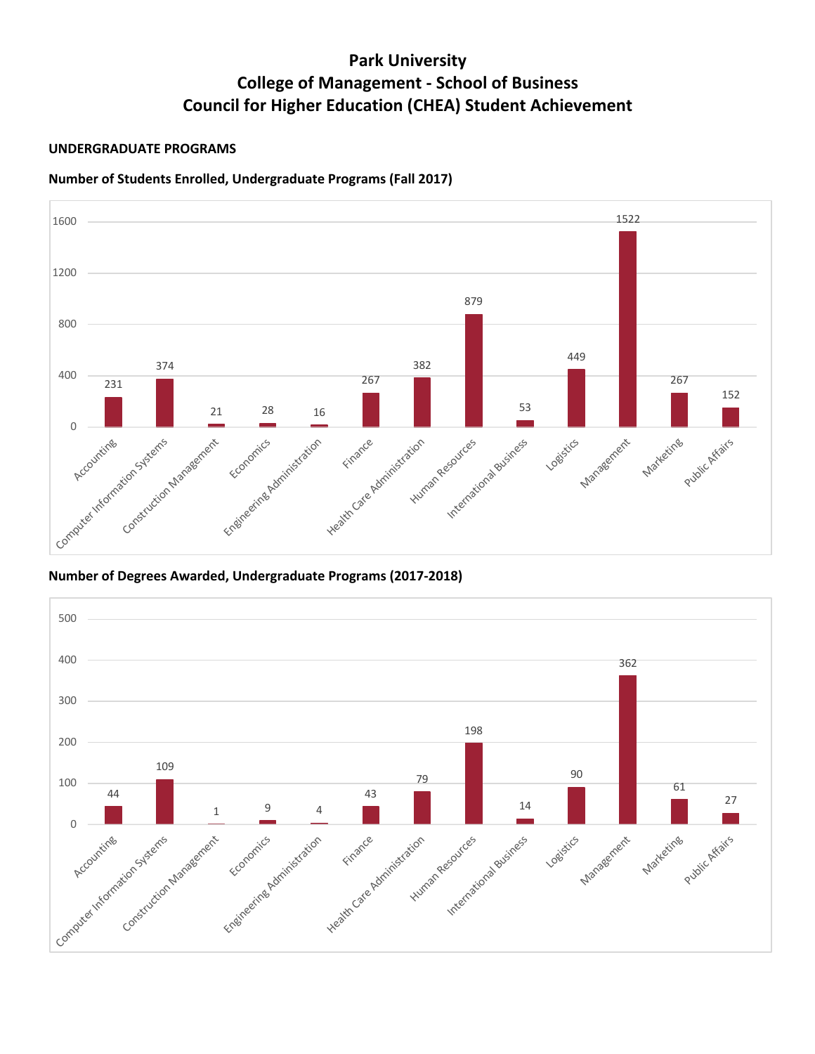# **Park University College of Management - School of Business Council for Higher Education (CHEA) Student Achievement**

### **UNDERGRADUATE PROGRAMS**

## **Number of Students Enrolled, Undergraduate Programs (Fall 2017)**



**Number of Degrees Awarded, Undergraduate Programs (2017-2018)**